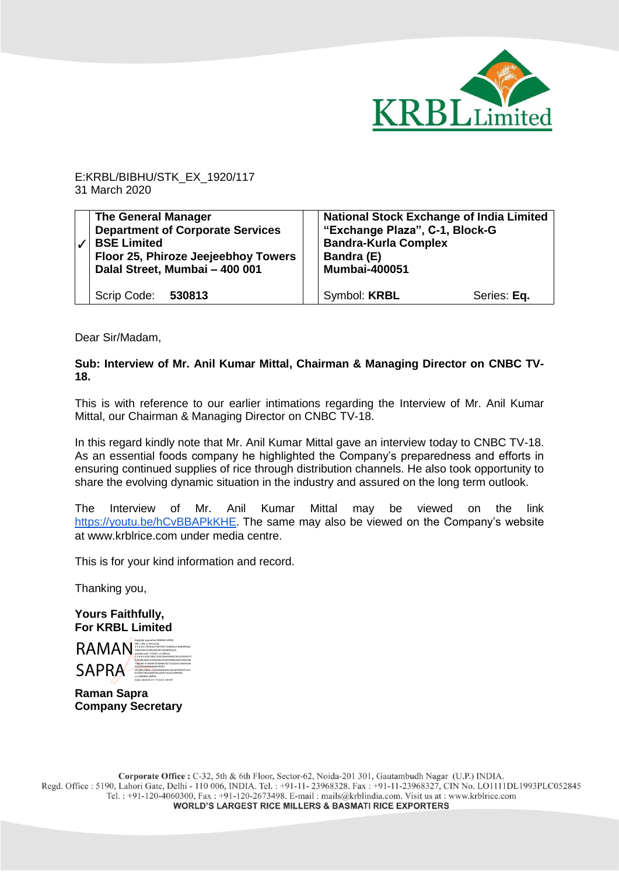

E:KRBL/BIBHU/STK\_EX\_1920/117 31 March 2020

| <b>The General Manager</b><br><b>Department of Corporate Services</b><br><b>BSE Limited</b><br>Floor 25, Phiroze Jeejeebhoy Towers<br>Dalal Street, Mumbai - 400 001 | <b>National Stock Exchange of India Limited</b><br>"Exchange Plaza", C-1, Block-G<br><b>Bandra-Kurla Complex</b><br>Bandra (E)<br><b>Mumbai-400051</b> |             |
|----------------------------------------------------------------------------------------------------------------------------------------------------------------------|--------------------------------------------------------------------------------------------------------------------------------------------------------|-------------|
| Scrip Code: 530813                                                                                                                                                   | Symbol: <b>KRBL</b>                                                                                                                                    | Series: Eq. |

Dear Sir/Madam,

## **Sub: Interview of Mr. Anil Kumar Mittal, Chairman & Managing Director on CNBC TV-18.**

This is with reference to our earlier intimations regarding the Interview of Mr. Anil Kumar Mittal, our Chairman & Managing Director on CNBC TV-18.

In this regard kindly note that Mr. Anil Kumar Mittal gave an interview today to CNBC TV-18. As an essential foods company he highlighted the Company's preparedness and efforts in ensuring continued supplies of rice through distribution channels. He also took opportunity to share the evolving dynamic situation in the industry and assured on the long term outlook.

The Interview of Mr. Anil Kumar Mittal may be viewed on the link <https://youtu.be/hCvBBAPkKHE>. The same may also be viewed on the Company's website at www.krblrice.com under media centre.

This is for your kind information and record.

Thanking you,

**Yours Faithfully, For KRBL Limited** 



**Raman Sapra Company Secretary**